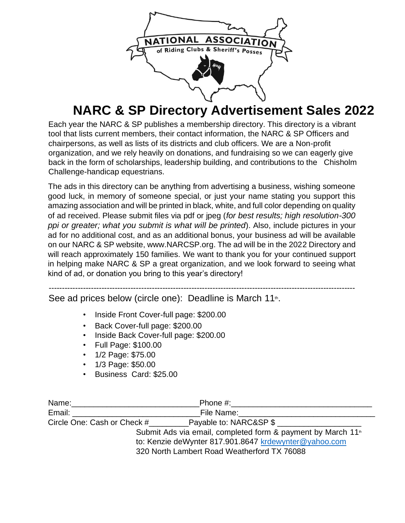

## **NARC & SP Directory Advertisement Sales 2022**

Each year the NARC & SP publishes a membership directory. This directory is a vibrant tool that lists current members, their contact information, the NARC & SP Officers and chairpersons, as well as lists of its districts and club officers. We are a Non-profit organization, and we rely heavily on donations, and fundraising so we can eagerly give back in the form of scholarships, leadership building, and contributions to the Chisholm Challenge-handicap equestrians.

The ads in this directory can be anything from advertising a business, wishing someone good luck, in memory of someone special, or just your name stating you support this amazing association and will be printed in black, white, and full color depending on quality of ad received. Please submit files via pdf or jpeg (*for best results; high resolution-300 ppi or greater; what you submit is what will be printed*). Also, include pictures in your ad for no additional cost, and as an additional bonus, your business ad will be available on our NARC & SP website, www.NARCSP.org. The ad will be in the 2022 Directory and will reach approximately 150 families. We want to thank you for your continued support in helping make NARC & SP a great organization, and we look forward to seeing what kind of ad, or donation you bring to this year's directory!

-------------------------------------------------------------------------------------------------------------------- See ad prices below (circle one): Deadline is March 11<sup>th</sup>.

- Inside Front Cover-full page: \$200.00
- Back Cover-full page: \$200.00
- Inside Back Cover-full page: \$200.00
- Full Page: \$100.00
- 1/2 Page: \$75.00
- 1/3 Page: \$50.00
- Business Card: \$25.00

| Name:                                                 | Phone #:                                                                 |
|-------------------------------------------------------|--------------------------------------------------------------------------|
| Email:                                                | File Name:                                                               |
| Circle One: Cash or Check #                           | Payable to: NARC&SP \$                                                   |
|                                                       | Submit Ads via email, completed form & payment by March 11 <sup>th</sup> |
| to: Kenzie deWynter 817.901.8647 krdewynter@yahoo.com |                                                                          |
|                                                       | 320 North Lambert Road Weatherford TX 76088                              |